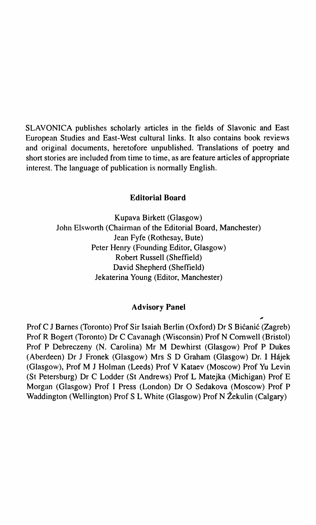SLAVONICA publishes scholarly articles in the fields of Slavonic and East European Studies and East-West cultural links. It also contains book reviews and original documents, heretofore unpublished. Translations of poetry and short stories are included from time to time, as are feature articles of appropriate interest. The language of publication is normally English.

## **Editorial Board**

Kupava Birkett (Glasgow) John Elsworth (Chairman of the Editorial Board, Manchester) Jean Fyfe (Rothesay, Bute) Peter Henry (Founding Editor, Glasgow) Robert Russell (Sheffield) David Shepherd (Sheffield) Jekaterina Young (Editor, Manchester)

## **Advisory Panel**

Prof С J Barnes (Toronto) Prof Sir Isaiah Berlin (Oxford) Dr S Bicanic (Zagreb) Prof R Bogert (Toronto) Dr С Cavanagh (Wisconsin) Prof N Cornwell (Bristol) Prof P Debreczeny (N. Carolina) Mr M Dewhirst (Glasgow) Prof P Dukes (Aberdeen) Dr J Fronek (Glasgow) Mrs S D Graham (Glasgow) Dr. I Hajek (Glasgow), Prof M J Holman (Leeds) Prof V Kataev (Moscow) Prof Yu Levin (St Petersburg) Dr С Lodder (St Andrews) Prof L Matejka (Michigan) Prof E Morgan (Glasgow) Prof I Press (London) Dr О Sedakova (Moscow) Prof P Waddington (Wellington) Prof S L White (Glasgow) Prof N Zekulin (Calgary)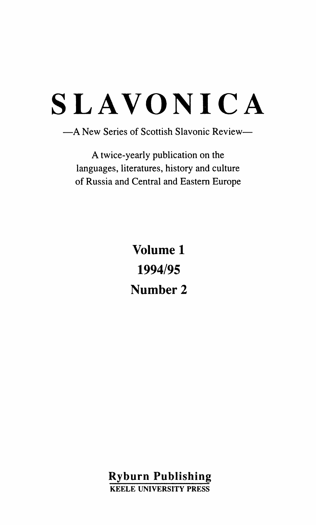# **LAVONIC A**

**- A New Series of Scottish Slavonic Review—** 

**A twice-yearly publication on the languages, literatures, history and culture of Russia and Central and Eastern Europe** 

> **Volume 1 1994/95 Number 2**

**Ryburn Publishing KEELE UNIVERSITY PRESS**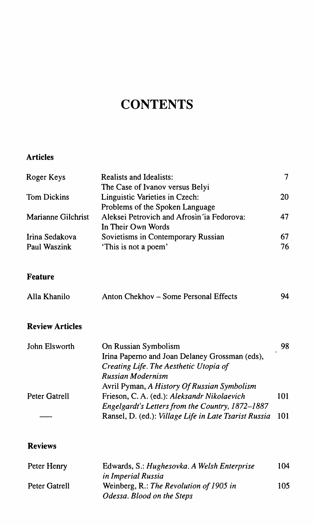## **CONTENTS**

## **Articles**

| Roger Keys             | Realists and Idealists:                               | 7   |
|------------------------|-------------------------------------------------------|-----|
|                        | The Case of Ivanov versus Belyi                       |     |
| <b>Tom Dickins</b>     | Linguistic Varieties in Czech:                        | 20  |
|                        | Problems of the Spoken Language                       |     |
| Marianne Gilchrist     | Aleksei Petrovich and Afrosin ja Fedorova:            | 47  |
|                        | In Their Own Words                                    |     |
| Irina Sedakova         | Sovietisms in Contemporary Russian                    | 67  |
| Paul Waszink           | 'This is not a poem'                                  | 76  |
| <b>Feature</b>         |                                                       |     |
| Alla Khanilo           | Anton Chekhov – Some Personal Effects                 | 94  |
| <b>Review Articles</b> |                                                       |     |
| John Elsworth          | On Russian Symbolism                                  | 98  |
|                        | Irina Paperno and Joan Delaney Grossman (eds),        |     |
|                        | Creating Life. The Aesthetic Utopia of                |     |
|                        | Russian Modernism                                     |     |
|                        | Avril Pyman, A History Of Russian Symbolism           |     |
| Peter Gatrell          | Frieson, C. A. (ed.): Aleksandr Nikolaevich           | 101 |
|                        | Engelgardt's Letters from the Country, 1872-1887      |     |
|                        | Ransel, D. (ed.): Village Life in Late Tsarist Russia | 101 |
|                        |                                                       |     |
| <b>Reviews</b>         |                                                       |     |

| Peter Henry   | Edwards, S.: Hughesovka. A Welsh Enterprise | 104 |
|---------------|---------------------------------------------|-----|
|               | in Imperial Russia                          |     |
| Peter Gatrell | Weinberg, R.: The Revolution of 1905 in     | 105 |
|               | Odessa. Blood on the Steps                  |     |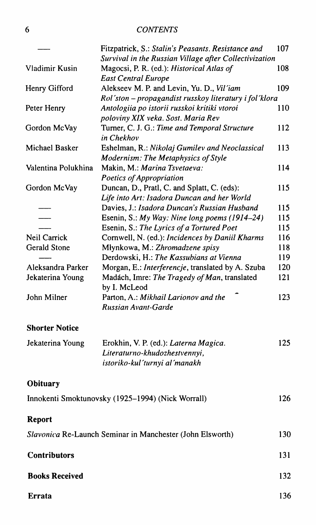## 6 *CONTENTS*

|                                                           | Fitzpatrick, S.: Stalin's Peasants. Resistance and                                  | 107 |
|-----------------------------------------------------------|-------------------------------------------------------------------------------------|-----|
|                                                           | Survival in the Russian Village after Collectivization                              |     |
| Vladimir Kusin                                            | Magocsi, P. R. (ed.): Historical Atlas of                                           | 108 |
|                                                           | <b>East Central Europe</b>                                                          |     |
| Henry Gifford                                             | Alekseev M. P. and Levin, Yu. D., Vil'iam                                           | 109 |
|                                                           | Rol'ston – propagandist russkoy literatury i fol'klora                              |     |
| Peter Henry                                               | Antologiia po istorii russkoi kritiki vtoroi                                        | 110 |
| Gordon McVay                                              | poloviny XIX veka. Sost. Maria Rev<br>Turner, C. J. G.: Time and Temporal Structure | 112 |
|                                                           | in Chekhov                                                                          |     |
| Michael Basker                                            | Eshelman, R.: Nikolaj Gumilev and Neoclassical                                      | 113 |
|                                                           | Modernism: The Metaphysics of Style                                                 |     |
| Valentina Polukhina                                       | Makin, M.: Marina Tsvetaeva:                                                        | 114 |
|                                                           | Poetics of Appropriation                                                            |     |
| Gordon McVay                                              | Duncan, D., Pratl, C. and Splatt, C. (eds):                                         | 115 |
|                                                           | Life into Art: Isadora Duncan and her World                                         |     |
|                                                           | Davies, J.: Isadora Duncan's Russian Husband                                        | 115 |
|                                                           | Esenin, S.: My Way: Nine long poems (1914-24)                                       | 115 |
|                                                           | Esenin, S.: The Lyrics of a Tortured Poet                                           | 115 |
| Neil Carrick                                              | Cornwell, N. (ed.): Incidences by Daniil Kharms                                     | 116 |
| Gerald Stone                                              | Młynkowa, M.: Zhromadzene spisy                                                     | 118 |
|                                                           | Derdowski, H.: The Kassubians at Vienna                                             | 119 |
| Aleksandra Parker                                         | Morgan, E.: Interferencje, translated by A. Szuba                                   | 120 |
| Jekaterina Young                                          | Madách, Imre: The Tragedy of Man, translated<br>by I. McLeod                        | 121 |
| John Milner                                               | Parton, A.: Mikhail Larionov and the                                                | 123 |
|                                                           | Russian Avant-Garde                                                                 |     |
|                                                           |                                                                                     |     |
| <b>Shorter Notice</b>                                     |                                                                                     |     |
| Jekaterina Young                                          | Erokhin, V. P. (ed.): Laterna Magica.                                               | 125 |
|                                                           | Literaturno-khudozhestvennyi,                                                       |     |
|                                                           | istoriko-kul´turnyi al´manakh                                                       |     |
| Obituary                                                  |                                                                                     |     |
|                                                           | Innokenti Smoktunovsky (1925-1994) (Nick Worrall)                                   | 126 |
|                                                           |                                                                                     |     |
| Report                                                    |                                                                                     |     |
| Slavonica Re-Launch Seminar in Manchester (John Elsworth) |                                                                                     | 130 |
| <b>Contributors</b>                                       |                                                                                     | 131 |
| <b>Books Received</b>                                     |                                                                                     | 132 |
| Errata                                                    |                                                                                     | 136 |
|                                                           |                                                                                     |     |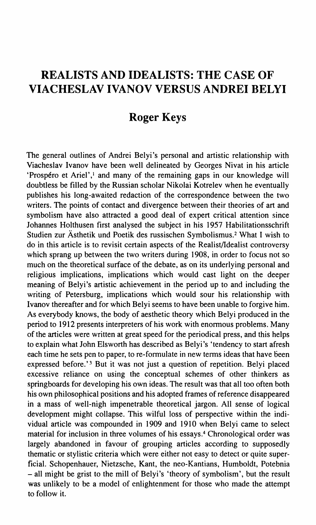## **REALISTS AND IDEALISTS: THE CASE OF VIACHESLAVIVANOV VERSUS ANDREI BELYI**

## **Roger Keys**

The general outlines of Andrei Belyi's personal and artistic relationship with Viacheslav Ivanov have been well delineated by Georges Nivat in his article 'Prospéro et Ariel',<sup>1</sup> and many of the remaining gaps in our knowledge will doubtless be filled by the Russian scholar Nikolai Kotrelev when he eventually publishes his long-awaited redaction of the correspondence between the two writers. The points of contact and divergence between their theories of art and symbolism have also attracted a good deal of expert critical attention since Johannes Holthusen first analysed the subject in his 1957 Habilitationsschrift Studien zur Asthetik und Poetik des russischen Symbolismus.<sup>2</sup> What I wish to do in this article is to revisit certain aspects of the Realist/Idealist controversy which sprang up between the two writers during 1908, in order to focus not so much on the theoretical surface of the debate, as on its underlying personal and religious implications, implications which would cast light on the deeper meaning of Belyi's artistic achievement in the period up to and including the writing of Petersburg, implications which would sour his relationship with Ivanov thereafter and for which Belyi seems to have been unable to forgive him. As everybody knows, the body of aesthetic theory which Belyi produced in the period to 1912 presents interpreters of his work with enormous problems. Many of the articles were written at great speed for the periodical press, and this helps to explain what John Els worth has described as Belyi's 'tendency to start afresh each time he sets pen to paper, to re-formulate in new terms ideas that have been expressed before.'<sup>3</sup> But it was not just a question of repetition. Belyi placed excessive reliance on using the conceptual schemes of other thinkers as springboards for developing his own ideas. The result was that all too often both his own philosophical positions and his adopted frames of reference disappeared in a mass of well-nigh impenetrable theoretical jargon. All sense of logical development might collapse. This wilful loss of perspective within the individual article was compounded in 1909 and 1910 when Belyi came to select material for inclusion in three volumes of his essays.<sup>4</sup> Chronological order was largely abandoned in favour of grouping articles according to supposedly thematic or stylistic criteria which were either not easy to detect or quite superficial. Schopenhauer, Nietzsche, Kant, the neo-Kantians, Humboldt, Potebnia - all might be grist to the mill of Belyi's 'theory of symbolism', but the result was unlikely to be a model of enlightenment for those who made the attempt to follow it.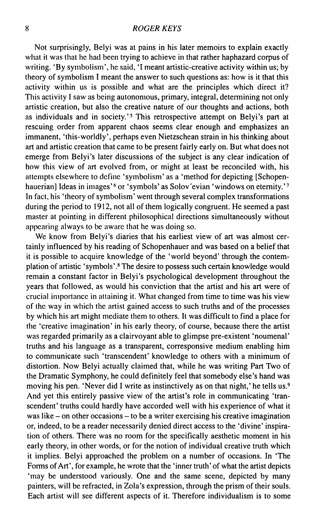Not surprisingly, Belyi was at pains in his later memoirs to explain exactly what it was that he had been trying to achieve in that rather haphazard corpus of writing. 'By symbolism', he said, 'I meant artistic-creative activity within us; by theory of symbolism I meant the answer to such questions as: how is it that this activity within us is possible and what are the principles which direct it? This activity 1 saw as being autonomous, primary, integral, determining not only artistic creation, but also the creative nature of our thoughts and actions, both as individuals and in society.'<sup>5</sup> This retrospective attempt on Belyi's part at rescuing order from apparent chaos seems clear enough and emphasizes an immanent, 'this-worldly', perhaps even Nietzschean strain in his thinking about art and artistic creation that came to be present fairly early on. But what does not emerge from Belyi's later discussions of the subject is any clear indication of how this view of art evolved from, or might at least be reconciled with, his attempts elsewhere to define 'symbolism' as a 'method for depicting [Schopenhauerian] Ideas in images'<sup>6</sup> or 'symbols' as Solov'evian 'windows on eternity.'<sup>7</sup> In fact, his 'theory of symbolism' went through several complex transformations during the period to 1912, not all of them logically congruent. He seemed a past master at pointing in different philosophical directions simultaneously without appearing always to be aware that he was doing so.

We know from Belyi's diaries that his earliest view of art was almost certainly influenced by his reading of Schopenhauer and was based on a belief that it is possible to acquire knowledge of the 'world beyond' through the contemplation of artistic 'symbols'.<sup>8</sup> The desire to possess such certain knowledge would remain a constant factor in Belyi's psychological development throughout the years that followed, as would his conviction that the artist and his art were of crucial importance in attaining it. What changed from time to time was his view of the way in which the artist gained access to such truths and of the processes by which his art might mediate them to others. It was difficult to find a place for the 'creative imagination' in his early theory, of course, because there the artist was regarded primarily as a clairvoyant able to glimpse pre-existent 'noumenal' truths and his language as a transparent, corresponsive medium enabling him to communicate such 'transcendent' knowledge to others with a minimum of distortion. Now Belyi actually claimed that, while he was writing Part Two of the Dramatic Symphony, he could definitely feel that somebody else's hand was moving his pen. 'Never did I write as instinctively as on that night,' he tells us.<sup>9</sup> And yet this entirely passive view of the artist's role in communicating 'transcendent' truths could hardly have accorded well with his experience of what it was like – on other occasions – to be a writer exercising his creative imagination or, indeed, to be a reader necessarily denied direct access to the 'divine' inspiration of others. There was no room for the specifically aesthetic moment in his early theory, in other words, or for the notion of individual creative truth which it implies. Belyi approached the problem on a number of occasions. In 'The Forms of Art', for example, he wrote that the 'inner truth' of what the artist depicts 'may be understood variously. One and the same scene, depicted by many painters, will be refracted, in Zola's expression, through the prism of their souls. Each artist will see different aspects of it. Therefore individualism is to some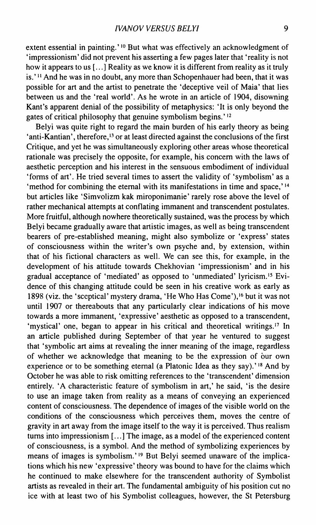extent essential in painting.' <sup>10</sup> But what was effectively an acknowledgment of 'impressionism' did not prevent his asserting a few pages later that 'reality is not how it appears to us [...] Reality as we know it is different from reality as it truly is.' <sup>11</sup> And he was in no doubt, any more than Schopenhauer had been, that it was possible for art and the artist to penetrate the 'deceptive veil of Maia' that lies between us and the 'real world'. As he wrote in an article of 1904, disowning Kant's apparent denial of the possibility of metaphysics: 'It is only beyond the gates of critical philosophy that genuine symbolism begins.'<sup>12</sup>

Belyi was quite right to regard the main burden of his early theory as being 'anti-Kantian', therefore,<sup>13</sup> or at least directed against the conclusions of the first Critique, and yet he was simultaneously exploring other areas whose theoretical rationale was precisely the opposite, for example, his concern with the laws of aesthetic perception and his interest in the sensuous embodiment of individual 'forms of art'. He tried several times to assert the validity of 'symbolism' as a 'method for combining the eternal with its manifestations in time and space,' $14$ but articles like 'Simvolizm kak miroponimanie' rarely rose above the level of rather mechanical attempts at conflating immanent and transcendent postulates. More fruitful, although nowhere theoretically sustained, was the process by which Belyi became gradually aware that artistic images, as well as being transcendent bearers of pre-established meaning, might also symbolize or 'express' states of consciousness within the writer's own psyche and, by extension, within that of his fictional characters as well. We can see this, for example, in the development of his attitude towards Chekhovian 'impressionism' and in his gradual acceptance of 'mediated' as opposed to 'unmediated' lyricism.<sup>15</sup> Evidence of this changing attitude could be seen in his creative work as early as 1898 (viz. the 'sceptical' mystery drama, 'He Who Has Come'),<sup>16</sup> but it was not until 1907 or thereabouts that any particularly clear indications of his move towards a more immanent, 'expressive' aesthetic as opposed to a transcendent, 'mystical' one, began to appear in his critical and theoretical writings.<sup>17</sup> In an article published during September of that year he ventured to suggest that 'symbolic art aims at revealing the inner meaning of the image, regardless of whether we acknowledge that meaning to be the expression of our own experience or to be something eternal (a Platonic Idea as they say).<sup>'18</sup> And by October he was able to risk omitting references to the 'transcendent' dimension entirely. 'A characteristic feature of symbolism in art,' he said, 'is the desire to use an image taken from reality as a means of conveying an experienced content of consciousness. The dependence of images of the visible world on the conditions of the consciousness which perceives them, moves the centre of gravity in art away from the image itself to the way it is perceived. Thus realism turns into impressionism [...] The image, as a model of the experienced content of consciousness, is a symbol. And the method of symbolizing experiences by means of images is symbolism.'<sup>19</sup> But Belyi seemed unaware of the implications which his new 'expressive' theory was bound to have for the claims which he continued to make elsewhere for the transcendent authority of Symbolist artists as revealed in their art. The fundamental ambiguity of his position cut no ice with at least two of his Symbolist colleagues, however, the St Petersburg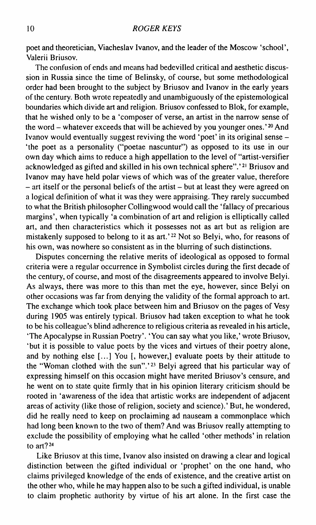poet and theoretician, Viacheslav Ivanov, and the leader of the Moscow 'school', Valerii Briusov.

The confusion of ends and means had bedevilled critical and aesthetic discussion in Russia since the time of Belinsky, of course, but some methodological order had been brought to the subject by Briusov and Ivanov in the early years of the century. Both wrote repeatedly and unambiguously of the epistemological boundaries which divide art and religion. Briusov confessed to Blok, for example, that he wished only to be a 'composer of verse, an artist in the narrow sense of the word – whatever exceeds that will be achieved by you younger ones.'<sup>20</sup> And Ivanov would eventually suggest reviving the word 'poet' in its original sense - 'the poet as a personality ("poetae nascuntur") as opposed to its use in our own day which aims to reduce a high appellation to the level of "artist-versifier acknowledged as gifted and skilled in his own technical sphere".'<sup>21</sup> Briusov and Ivanov may have held polar views of which was of the greater value, therefore - art itself or the personal beliefs of the artist - but at least they were agreed on a logical definition of what it was they were appraising. They rarely succumbed to what the British philosopher Collingwood would call the 'fallacy of precarious margins', when typically 'a combination of art and religion is elliptically called art, and then characteristics which it possesses not as art but as religion are mistakenly supposed to belong to it as art.'<sup>22</sup> Not so Belyi, who, for reasons of his own, was nowhere so consistent as in the blurring of such distinctions.

Disputes concerning the relative merits of ideological as opposed to formal criteria were a regular occurrence in Symbolist circles during the first decade of the century, of course, and most of the disagreements appeared to involve Belyi. As always, there was more to this than met the eye, however, since Belyi on other occasions was far from denying the validity of the formal approach to art. The exchange which took place between him and Briusov on the pages of Vesy during 1905 was entirely typical. Briusov had taken exception to what he took to be his colleague's blind adherence to religious criteria as revealed in his article, 'The Apocalypse in Russian Poetry'. 'You can say what you like,' wrote Briusov, 'but it is possible to value poets by the vices and virtues of their poetry alone, and by nothing else [...] You [, however,] evaluate poets by their attitude to the "Woman clothed with the sun".<sup>'23</sup> Belyi agreed that his particular way of expressing himself on this occasion might have merited Briusov's censure, and he went on to state quite firmly that in his opinion literary criticism should be rooted in 'awareness of the idea that artistic works are independent of adjacent areas of activity (like those of religion, society and science).' But, he wondered, did he really need to keep on proclaiming ad nauseam a commonplace which had long been known to the two of them? And was Briusov really attempting to exclude the possibility of employing what he called 'other methods' in relation to art? $24$ 

Like Briusov at this time, Ivanov also insisted on drawing a clear and logical distinction between the gifted individual or 'prophet' on the one hand, who claims privileged knowledge of the ends of existence, and the creative artist on the other who, while he may happen also to be such a gifted individual, is unable to claim prophetic authority by virtue of his art alone. In the first case the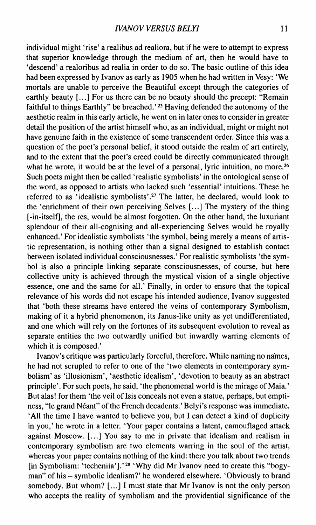individual might 'rise' a realibus ad realiora, but if he were to attempt to express that superior knowledge through the medium of art, then he would have to 'descend' a realoribus ad realia in order to do so. The basic outline of this idea had been expressed by Ivanov as early as 1905 when he had written in Vesy: 'We mortals are unable to perceive the Beautiful except through the categories of earthly beauty [...] For us there can be no beauty should the precept: "Remain faithful to things Earthly" be breached.'<sup>25</sup> Having defended the autonomy of the aesthetic realm in this early article, he went on in later ones to consider in greater detail the position of the artist himself who, as an individual, might or might not have genuine faith in the existence of some transcendent order. Since this was a question of the poet's personal belief, it stood outside the realm of art entirely, and to the extent that the poet's creed could be directly communicated through what he wrote, it would be at the level of a personal, lyric intuition, no more.<sup>26</sup> Such poets might then be called 'realistic symbolists' in the ontological sense of the word, as opposed to artists who lacked such 'essential' intuitions. These he referred to as 'idealistic symbolists'.<sup>27</sup> The latter, he declared, would look to the 'enrichment of their own perceiving Selves [...] The mystery of the thing [-in-itself], the res, would be almost forgotten. On the other hand, the luxuriant splendour of their all-cognising and all-experiencing Selves would be royally enhanced.' For idealistic symbolists 'the symbol, being merely a means of artistic representation, is nothing other than a signal designed to establish contact between isolated individual consciousnesses.' For realistic symbolists 'the symbol is also a principle linking separate consciousnesses, of course, but here collective unity is achieved through the mystical vision of a single objective essence, one and the same for all.' Finally, in order to ensure that the topical relevance of his words did not escape his intended audience, Ivanov suggested that 'both these streams have entered the veins of contemporary Symbolism, making of it a hybrid phenomenon, its Janus-like unity as yet undifferentiated, and one which will rely on the fortunes of its subsequent evolution to reveal as separate entities the two outwardly unified but inwardly warring elements of which it is composed.'

Ivanov's critique was particularly forceful, therefore. While naming no names, he had not scrupled to refer to one of the 'two elements in contemporary symbolism' as 'illusionism', 'aesthetic idealism', 'devotion to beauty as an abstract principle'. For such poets, he said, 'the phenomenal world is the mirage of Maia.' But alas! for them 'the veil of Isis conceals not even a statue, perhaps, but emptiness, "le grand Néant" of the French decadents.' Belyi's response was immediate. 'All the time I have wanted to believe you, but I can detect a kind of duplicity in you,' he wrote in a letter. 'Your paper contains a latent, camouflaged attack against Moscow. [...] You say to me in private that idealism and realism in contemporary symbolism are two elements warring in the soul of the artist, whereas your paper contains nothing of the kind: there you talk about two trends [in Symbolism: 'techeniia'].'<sup>28</sup> 'Why did Mr Ivanov need to create this "bogyman" of his - symbolic idealism?' he wondered elsewhere. 'Obviously to brand somebody. But whom?  $[...]$  I must state that Mr Ivanov is not the only person who accepts the reality of symbolism and the providential significance of the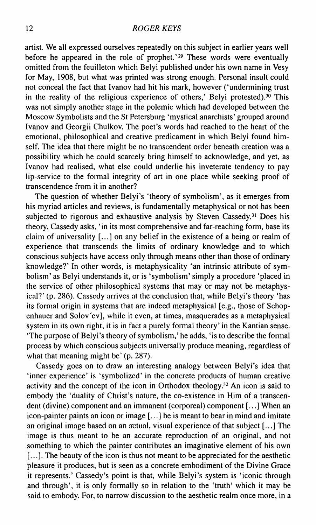artist. We all expressed ourselves repeatedly on this subject in earlier years well before he appeared in the role of prophet.'<sup>29</sup> These words were eventually omitted from the feuilleton which Belyi published under his own name in Vesy for May, 1908, but what was printed was strong enough. Personal insult could not conceal the fact that Ivanov had hit his mark, however ('undermining trust in the reality of the religious experience of others,' Belyi protested).<sup>30</sup> This was not simply another stage in the polemic which had developed between the Moscow Symbolists and the St Petersburg 'mystical anarchists' grouped around Ivanov and Georgii Chulkov. The poet's words had reached to the heart of the emotional, philosophical and creative predicament in which Belyi found himself. The idea that there might be no transcendent order beneath creation was a possibility which he could scarcely bring himself to acknowledge, and yet, as Ivanov had realised, what else could underlie his inveterate tendency to pay lip-service to the formal integrity of art in one place while seeking proof of transcendence from it in another?

The question of whether Belyi's 'theory of symbolism', as it emerges from his myriad articles and reviews, is fundamentally metaphysical or not has been subjected to rigorous and exhaustive analysis by Steven Cassedy.<sup>31</sup> Does his theory, Cassedy asks, 'in its most comprehensive and far-reaching form, base its claim of universality [...] on any belief in the existence of a being or realm of experience that transcends the limits of ordinary knowledge and to which conscious subjects have access only through means other than those of ordinary knowledge?' In other words, is metaphysicality 'an intrinsic attribute of symbolism' as Belyi understands it, or is 'symbolism' simply a procedure 'placed in the service of other philosophical systems that may or may not be metaphysical?' (p. 286). Cassedy arrives at the conclusion that, while Belyi's theory 'has its formal origin in systems that are indeed metaphysical [e.g., those of Schopenhauer and Solov'ev], while it even, at times, masquerades as a metaphysical system in its own right, it is in fact a purely formal theory' in the Kantian sense. 'The purpose of Belyi's theory of symbolism,' he adds, 'is to describe the formal process by which conscious subjects universally produce meaning, regardless of what that meaning might be' (p. 287).

Cassedy goes on to draw an interesting analogy between Belyi's idea that 'inner experience' is 'symbolized' in the concrete products of human creative activity and the concept of the icon in Orthodox theology.<sup>32</sup> An icon is said to embody the 'duality of Christ's nature, the co-existence in Him of a transcendent (divine) component and an immanent (corporeal) component [...] When an icon-painter paints an icon or image [...] he is meant to bear in mind and imitate an original image based on an actual, visual experience of that subject [...] The image is thus meant to be an accurate reproduction of an original, and not something to which the painter contributes an imaginative element of his own [...]. The beauty of the icon is thus not meant to be appreciated for the aesthetic pleasure it produces, but is seen as a concrete embodiment of the Divine Grace it represents.' Cassedy's point is that, while Belyi's system is 'iconic through and through', it is only formally so in relation to the 'truth' which it may be said to embody. For, to narrow discussion to the aesthetic realm once more, in a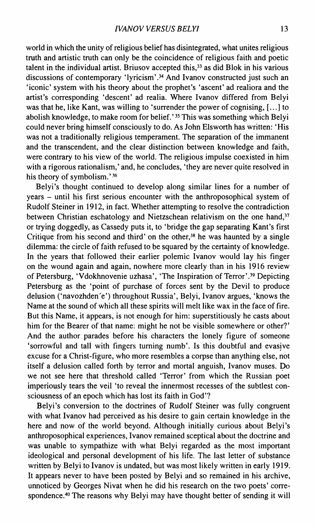world in which the unity of religious belief has disintegrated, what unites religious truth and artistic truth can only be the coincidence of religious faith and poetic talent in the individual artist. Briusov accepted this,<sup>33</sup> as did Blok in his various discussions of contemporary 'lyricism'.<sup>34</sup> And Ivanov constructed just such an 'iconic' system with his theory about the prophet's 'ascent' ad realiora and the artist's corresponding 'descent' ad realia. Where Ivanov differed from Belyi was that he, like Kant, was willing to 'surrender the power of cognising, [...] to abolish knowledge, to make room for belief.' <sup>35</sup> This was something which Belyi could never bring himself consciously to do. As John Els worth has written: 'His was not a traditionally religious temperament. The separation of the immanent and the transcendent, and the clear distinction between knowledge and faith, were contrary to his view of the world. The religious impulse coexisted in him with a rigorous rationalism,' and, he concludes, 'they are never quite resolved in his theory of symbolism.' 36

Belyi's thought continued to develop along similar lines for a number of years - until his first serious encounter with the anthroposophical system of Rudolf Steiner in 1912, in fact. Whether attempting to resolve the contradiction between Christian eschatology and Nietzschean relativism on the one hand,  $37$ or trying doggedly, as Cassedy puts it, to 'bridge the gap separating Kant's first Critique from his second and third' on the other, $38$  he was haunted by a single dilemma: the circle of faith refused to be squared by the certainty of knowledge. In the years that followed their earlier polemic Ivanov would lay his finger on the wound again and again, nowhere more clearly than in his 1916 review of Petersburg, 'Vdokhnovenie uzhasa', 'The Inspiration of Terror'.<sup>39</sup> Depicting Petersburg as the 'point of purchase of forces sent by the Devil to produce delusion ('navozhden'e') throughout Russia', Belyi, Ivanov argues, 'knows the Name at the sound of which all these spirits will melt like wax in the face of fire. But this Name, it appears, is not enough for him: superstitiously he casts about him for the Bearer of that name: might he not be visible somewhere or other?' And the author parades before his characters the lonely figure of someone 'sorrowful and tall with fingers turning numb'. Is this doubtful and evasive excuse for a Christ-figure, who more resembles a corpse than anything else, not itself a delusion called forth by terror and mortal anguish, Ivanov muses. Do we not see here that threshold called 'Terror' from which the Russian poet imperiously tears the veil 'to reveal the innermost recesses of the subtlest consciousness of an epoch which has lost its faith in God'?

Belyi's conversion to the doctrines of Rudolf Steiner was fully congruent with what Ivanov had perceived as his desire to gain certain knowledge in the here and now of the world beyond. Although initially curious about Belyi's anthroposophical experiences, Ivanov remained sceptical about the doctrine and was unable to sympathize with what Belyi regarded as the most important ideological and personal development of his life. The last letter of substance written by Belyi to Ivanov is undated, but was most likely written in early 1919. It appears never to have been posted by Belyi and so remained in his archive, unnoticed by Georges Nivat when he did his research on the two poets' correspondence.<sup>40</sup> The reasons why Belyi may have thought better of sending it will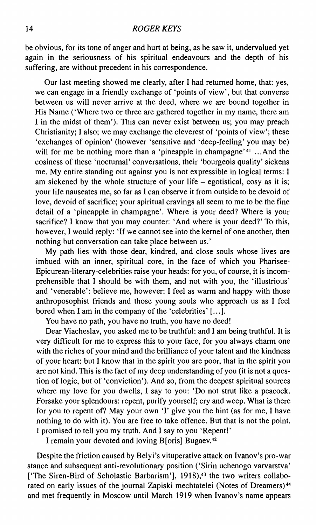be obvious, for its tone of anger and hurt at being, as he saw it, undervalued yet again in the seriousness of his spiritual endeavours and the depth of his suffering, are without precedent in his correspondence.

Our last meeting showed me clearly, after I had returned home, that: yes, we can engage in a friendly exchange of 'points of view', but that converse between us will never arrive at the deed, where we are bound together in His Name ('Where two or three are gathered together in my name, there am I in the midst of them'). This can never exist between us; you may preach Christianity; I also; we may exchange the cleverest of 'points of view'; these 'exchanges of opinion' (however 'sensitive and 'deep-feeling' you may be) will for me be nothing more than a 'pineapple in champagne'<sup>41</sup> ...And the cosiness of these 'nocturnal' conversations, their 'bourgeois quality' sickens me. My entire standing out against you is not expressible in logical terms: I am sickened by the whole structure of your life  $-$  egotistical, cosy as it is; your life nauseates me, so far as I can observe it from outside to be devoid of love, devoid of sacrifice; your spiritual cravings all seem to me to be the fine detail of a 'pineapple in champagne'. Where is your deed? Where is your sacrifice? I know that you may counter: 'And where is your deed?' To this, however, I would reply: 'If we cannot see into the kernel of one another, then nothing but conversation can take place between us.'

My path lies with those dear, kindred, and close souls whose lives are imbued with an inner, spiritual core, in the face of which you Pharisee-Epicurean-literary-celebrities raise your heads: for you, of course, it is incomprehensible that I should be with them, and not with you, the 'illustrious' and 'venerable': believe me, however: I feel as warm and happy with those anthroposophist friends and those young souls who approach us as I feel bored when I am in the company of the 'celebrities' [...].

You have no path, you have no truth, you have no deed!

Dear Viacheslav, you asked me to be truthful: and I am being truthful. It is very difficult for me to express this to your face, for you always charm one with the riches of your mind and the brilliance of your talent and the kindness of your heart: but I know that in the spirit you are poor, that in the spirit you are not kind. This is the fact of my deep understanding of you (it is not a question of logic, but of 'conviction'). And so, from the deepest spiritual sources where my love for you dwells, I say to you: 'Do not strut like a peacock. Forsake your splendours: repent, purify yourself; cry and weep. What is there for you to repent of? May your own 'I' give you the hint (as for me, I have nothing to do with it). You are free to take offence. But that is not the point. I promised to tell you my truth. And I say to you 'Repent!'

I remain your devoted and loving B[oris] Bugaev.<sup>42</sup>

Despite the friction caused by Belyi's vituperative attack on Ivanov's pro-war stance and subsequent anti-revolutionary position ('Sirin uchenogo varvarstva' ['The Siren-Bird of Scholastic Barbarism'], 1918),<sup>43</sup> the two writers collaborated on early issues of the journal Zapiski mechtatelei (Notes of Dreamers)<sup>44</sup> and met frequently in Moscow until March 1919 when Ivanov's name appears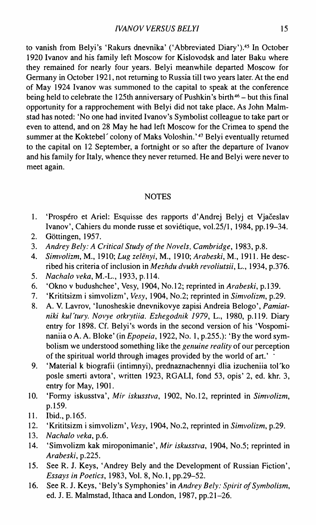to vanish from Belyi's 'Rakurs dnevnika' ('Abbreviated Diary').<sup>45</sup> In October 1920 Ivanov and his family left Moscow for Kislovodsk and later Baku where they remained for nearly four years. Belyi meanwhile departed Moscow for Germany in October 1921, not returning to Russia till two years later. At the end of May 1924 Ivanov was summoned to the capital to speak at the conference being held to celebrate the 125th anniversary of Pushkin's birth<sup>46</sup> – but this final opportunity for a rapprochement with Belyi did not take place. As John Malmstad has noted: 'No one had invited Ivanov's Symbolist colleague to take part or even to attend, and on 28 May he had left Moscow for the Crimea to spend the summer at the Koktebel' colony of Maks Voloshin.'47 Belyi eventually returned to the capital on 12 September, a fortnight or so after the departure of Ivanov and his family for Italy, whence they never returned. He and Belyi were never to meet again.

#### NOTES

- 1. 'Prospéro et Ariel: Esquisse des rapports d'Andrej Belyj et Vjačeslav Ivanov', Cahiers du monde russe et soviétique, vol.25/1, 1984, pp. 19-34.
- 2. Gòttingen, 1957.
- 3. *Audrey Bely: A Critical Study of the Novels, Cambridge,* 1983, p.8.
- 4. *Simvolizm,* M. , 1910; *Lug zelenyi,* M. , 1910; *Arabeski,* M. , 1911. He described his criteria of inclusion in *Mezhdu dvukh revoliutsii,* L. , 1934, p.376.
- 5. *Nachalo veka,* M.-L. , 1933, p. 114.
- 6. 'Okno v budushchee', Vesy, 1904, No. 12; reprinted in *Arabeski,* p. 139.
- 7. 'Krititsizm i simvolizm', *Vesy,* 1904, No.2; reprinted in *Simvolizm,* p.29.
- 8. A . V. Lavrov, 'Iunosheskie dnevnikovye zapisi Andreia Belogo', *Pamiat*niki kul'tury. Novye otkrytiia. Ezhegodnik 1979, L., 1980, p.119. Diary entry for 1898. Cf. Belyi's words in the second version of his 'Vospominaniia o A. A. Bloke' (in *Epopeia*, 1922, No. 1, p.255.): 'By the word symbolism we understood something like the *genuine reality* of our perception of the spiritual world through images provided by the world of art.' \*
- 9. 'Material к biografii (intimnyi), prednaznachennyi dlia izucheniia tol'ko posle smerti avtora', written 1923, RGALI, fond 53, opis' 2, ed. khr. 3, entry for May, 1901.
- 10. 'Formy iskusstva', *Mir iskusstva,* 1902, No. 12, reprinted in *Simvolizm,*  p.159.
- 11. Ibid., p. 165.
- 12. 'Krititsizm i simvolizm', *Vesy,* 1904, No.2, reprinted in *Simvolizm,* p.29.
- 13. *Nachalo veka, p.6.*
- 14. 'Simvolizm kak miroponimanie', Mir iskusstva, 1904, No.5; reprinted in *Arabeski,* p.225.
- 15. See R. J. Keys, 'Andrey Bely and the Development of Russian Fiction', *Essays in Poetics,* 1983, Vol. 8, No. 1, pp.29-52.
- 16. See R. J. Keys, 'Bely's Symphonies' in *Andrey Bely: Spirit of Symbolism,*  ed. J. E. Malmstad, Ithaca and London, 1987, pp.21-26.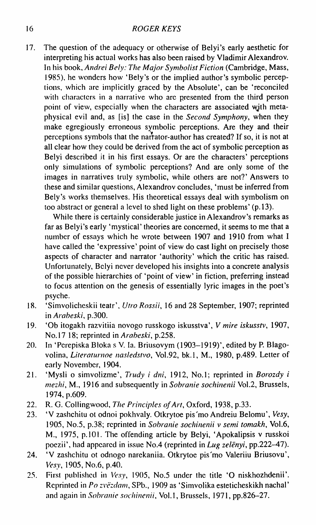17. The question of the adequacy or otherwise of Belyi's early aesthetic for interpreting his actual works has also been raised by Vladimir Alexandrov. In his book, *Andrei Bely: The Major Symbolist Fiction* (Cambridge, Mass, 1985), he wonders how 'Bely's or the implied author's symbolic perceptions, which arc implicitly graced by the Absolute', can be 'reconciled with characters in a narrative who arc presented from the third person point of view, especially when the characters are associated wjth metaphysical evil and, as [is] the case in the *Second Symphony,* when they make egregiously erroneous symbolic perceptions. Are they and their perceptions symbols that the narrator-author has created? If so, it is not at all clear how they could be derived from the act of symbolic perception as Belyi described it in his first essays. Or are the characters' perceptions only simulations of symbolic perceptions? And are only some of the images in narratives truly symbolic, while others are not?' Answers to these and similar questions, Alexandrov concludes, 'must be inferred from Bely's works themselves. His theoretical essays deal with symbolism on too abstract or general a level to shed light on these problems' (p. 13).

While there is certainly considerable justice in Alexandrov's remarks as far as Belyi's early 'mystical' theories are concerned, it seems to me that a number of essays which he wrote between 1907 and 1910 from what I have called the 'expressive' point of view do cast light on precisely those aspects of character and narrator 'authority' which the critic has raised. Unfortunately, Belyi never developed his insights into a concrete analysis of the possible hierarchies of 'point of view' in fiction, preferring instead to focus attention on the genesis of essentially lyric images in the poet's psyche.

- 18. 'Simvolicheskii teatr', *Utro Rossii,* 16 and 28 September, 1907; reprinted in *Arabeski,* p.300.
- 19. 'Ob itogakh razvitiia novogo russkogo iskusstva', *V mire iskusstv,* 1907, No. 17 18; reprinted in *Arabeski,* p.258.
- 20. In 'Pcrepiska Bloka s V. Ia. Briusovym (1903-1919)', edited by P. Blagovolina, *Literaturnoe nasledstvo,* Vol.92, bk.l, M. , 1980, p.489. Letter of early November, 1904.
- 21. 'Mysli o simvolizme', Trudy i dni, 1912, No.1; reprinted in Borozdy i *mezhi,* M. , 1916 and subsequently in *Sobranie sochinenii* Vol.2, Brussels, 1974, p.609.
- 22. R. G. Collingwood, *The Principles of Art,* Oxford, 1938, p.33.
- 23. ' V zashchitu ot odnoi pokhvaly. Otkrytoe pis'mo Andreiu Belomu', *Vesy,*  1905, No.5, p.38; reprinted in *Sobranie sochinenii* v *semi tomakh,* Vol.6, M., 1975, p.101. The offending article by Belyi, 'Apokalipsis v russkoi poezii', had appeared in issue No.4 (reprinted in *Lug zelenyi,* pp.222-47).
- 24. ' V zashchitu ot odnogo narekaniia. Otkrytoe pis'mo Valeriiu Briusovu', *Vesy,* 1905, No.6, p.40.
- 25. First published in *Vesy,* 1905, No.5 under the title 'O niskhozhdenii'. Reprinted in *Po zvèzdam,* SPb., 1909 as 'Simvolika esteticheskikh nachal' and again in *Sobranie sochinenii,* Vol.1, Brussels, 1971, pp.826-27.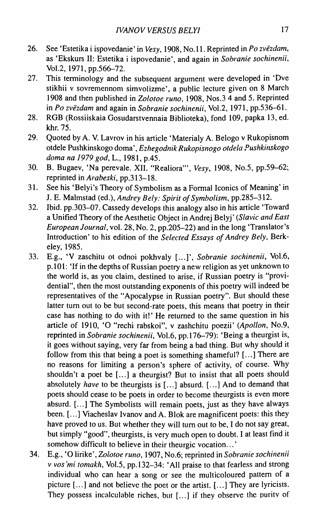- 26. See 'Estetika i ispovedanie' in *Vesy,* 1908, No. 11. Reprinted in *Po zvezdam,*  as 'Ekskurs II: Estetika i ispovedanie', and again in *Sobranie sochinenii,*  Vol.2, 1971, pp.566-72.
- 27. This terminology and the subsequent argument were developed in 'Dve stikhii v sovremennom simvolizme', a public lecture given on 8 March 1908 and then published in *Zolotoe runo,* 1908, Nos.3 4 and 5. Reprinted in *Po zvèzdam* and again in *Sobranie sochinenii,* Vol.2, 1971, pp.536-61.
- 28. RGB (Rossiiskaia Gosudarstvennaia Biblioteka), fond 109, papka 13, ed. khr. 75.
- 29. Quoted by A. V. Lavrov in his article 'Materialy A. Belogo v Rukopisnom otdele Pushkinskogo doma', *Ezhegodnik Rukopisnogo otdela Pushkinskogo doma na 1979 god, L., 1981, p.45.*
- 30. B. Bugaev, 'Na perevale. XII. "Realiora"', *Vesy,* 1908, No.5, pp.59-62; reprinted in *Arabeski,* pp.313-18.
- 31. See his 'Belyi's Theory of Symbolism as a Formal Iconics of Meaning' in J. E. Malmstad (ed.), *Andrey Bely: Spirit of Symbolism,* pp.285-312.
- 32. Ibid, pp.303-07. Cassedy develops this analogy also in his article 'Toward a Unified Theory of the Aesthetic Object in Andrej Belyj' *(Slavic and East European Journal,* vol. 28, No. 2, pp.205-22) and in the long 'Translator's Introduction' to his edition of the *Selected Essays of Andrey Bely,* Berkeley, 1985.
- 33. E.g., ' V zaschitu ot odnoi pokhvaly [...]', *Sobranie sochinenii,* Vol.6, p. 101: 'If in the depths of Russian poetry a new religion as yet unknown to the world is, as you claim, destined to arise, if Russian poetry is "providential", then the most outstanding exponents of this poetry will indeed be representatives of the "Apocalypse in Russian poetry". But should these latter turn out to be but second-rate poets, this means that poetry in their case has nothing to do with it!' He returned to the same question in his article of 1910, 'O "rechi rabskoi", v zashchitu poezii' *(Apollon,* No.9, reprinted in *Sobranie sochinenii,* Vol.6, pp. 176-79): 'Being a theurgist is, it goes without saying, very far from being a bad thing. But why should it follow from this that being a poet is something shameful? [...] There are no reasons for limiting a person's sphere of activity, of course. Why shouldn't a poet be [...] a theurgist? But to insist that all poets should absolutely *have* to be theurgists is [...] absurd. [...] And to demand that poets should cease to be poets in order to become theurgists is even more absurd. [...] The Symbolists will remain poets, just as they have always been. [...] Viacheslav Ivanov and A. Blok are magnificent poets: this they have proved to us. But whether they will turn out to be, I do not say great, but simply "good", theurgists, is very much open to doubt. I at least find it somehow difficult to believe in their theurgic vocation... '
- 34. E.g., 'O lirike', *Zolotoe runo,* 1907, No.6; reprinted in *Sobranie sochinenii v vos'mi tomakh*, Vol.5, pp.132-34: 'All praise to that fearless and strong individual who can hear a song or see the multicoloured pattern of a picture [...] and not believe the poet or the artist. [...] They are lyricists. They possess incalculable riches, but [...] if they observe the puritv of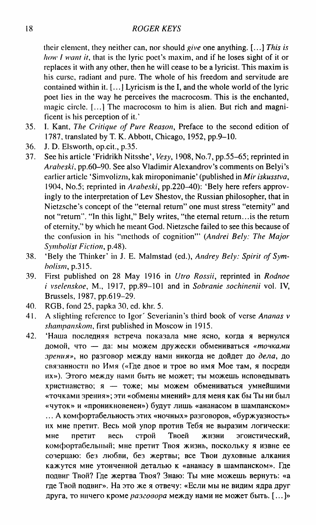their element, they neither can, nor should *give* one anything. [...] *This is how 1 want it,* that is the lyric poet's maxim, and if he loses sight of it or replaces it with any other, then he will cease to be a lyricist. This maxim is his curse, radiant and pure. The whole of his freedom and servitude are contained within it. [...J Lyricism is the I, and the whole world of the lyric poet lies in the way he perceives the macrocosm. This is the enchanted, magic circle. [...] The macrocosm to him is alien. But rich and magnificent is his perception of it.'

- 35. I. Kant, *The Critique of Pure Reason,* Preface to the second edition of 1787, translated by Т. K. Abbott, Chicago, 1952, pp.9-10.
- 36. J. D. Elsworth, op.cit., p.35.
- 37. See his article 'Fridrikh Nitsshe', *Vesy,* 1908, No.7, pp.55-65; reprinted in *Arabeski,* pp.60-90. See also Vladimir Alexandrov's comments on Belyi's earlier article 'Simvolizm, kak miroponimanie' (published in *Mir iskusstva*, 1904, No.5; reprinted in *Arabeski,* pp.220-40): 'Bely here refers approvingly to the interpretation of Lev Shestov, the Russian philosopher, that in Nietzsche's concept of the "eternal return" one must stress "eternity" and not "return". "In this light," Bely writes, "the eternal return...is the return of eternity," by which he meant God. Nietzsche failed to see this because of the confusion in his "methods of cognition'" *(Andrei Bely: The Major Symbolist Fiction,* p.48).
- 38. 'Bely the Thinker' in J. E. Malmstad (ed.), *Andrey Bely: Spirit of Symbolism,* p.315.
- 39. First published on 28 May 1916 in *Utro Rossii,* reprinted in *Rodnoe i vselenskoe,* M. , 1917, pp.89—101 and in *Sobranie sochinenii* vol. IV, Brussels, 1987, pp.619-29.
- 40. RGB, fond 25, papka 30, cd. khr. 5.
- 41. A slighting reference to Igor' Scverianin's third book of verse *Ananas v shampanskom,* first published in Moscow in 1915.
- 42. 'Наша последняя встреча показала мне ясно, когда я вернулся домой, что - да: мы можем дружески обмениваться «точками зрения», но разговор между нами никогда не дойдет до дела, до связанности во Имя («Где двое и трое во имя Мое там, я посреди их»). Этого между нами быть не может; ты можешь исповедывать христианство; я - тоже; мы можем обмениваться умнейшими «точками зрения»; эти «обмены мнений» для меня как бы Ты ни был «чуток» и «проникновенен») будут лишь «ананасом в шампанском» ... А комфортабельность этих «ночных» разговоров, «буржуазность» их мне претит. Весь мой упор против Тебя не выразим логически: мне претит весь строй Твоей жизни эгоистический, комфортабельный; мне претит Твоя жизнь, поскольку я извне ее созерцаю: без любви, без жертвы; все Твои духовные алкания кажутся мне утонченной деталью к «ананасу в шампанском». Где подвиг Твой? Где жертва Твоя? Знаю: Ты мне можешь вернуть: «а где Твой подвиг». На это же я отвечу: «Если мы не видим ядра друг друга, то ничего кроме *разговора* между нами не может быть. [...]»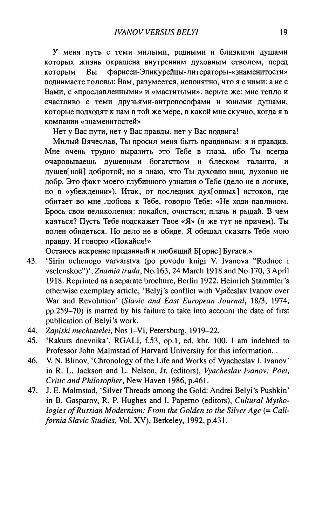У меня путь с теми милыми, родными и близкими душами которых жизнь окрашена внутренним духовным стволом, перед которым Вы фарисеи-Эпикурейцы-литераторы-«знаменитости» поднимаете головы: Вам, разумеется, непонятно, что я с ними: а не с Вами, с «прославленными» и «маститыми»: верьте же: мне тепло и счастливо с теми друзьями-антропософами и юными душами, которые подходят к нам в той же мере, в какой мне скучно, когда я в компани «знаменитостей»

Нет у Вас пути, нет у Вас правды, нет у Вас подвига!

Милый Вячеслав. Ты просил меня быть правдивым: я и правдив. Мне очень трудно выразить это Тебе в глаза, ибо Ты всегда очаровываешь душевным богатством и блеском таланта, и душев[ной] добротой; но я знаю, что Ты духовно нищ, духовно не добр. Это факт моего глубинного узнания о Тебе (дело не в логике, но в «убеждении»). Итак, от последних дух[овных] истоков, где обитает во мне любовь к Тебе, говорю Тебе: «Не ходи павлином. Брось свои великолепия: покайся, очисться; плачь и рыдай. В чем каяться? Пусть Тебе подскажет Твое «Я» (я же тут не причем). Ты волен обидеться. Но дело не в обиде. Я обещал сказать Тебе мою правду. И говорю «Покайся!»

Остаюсь искренне преданный и любящий Б[орис] Бугаев.»

- 43. 'Sirin uchenogo varvarstva (po povodu knigi V. Ivanova "Rodnoe i vselenskoe")', *Znamia truda,* No. 163, 24 March 1918 and No. 170, 3 April 1918. Reprinted as a separate brochure, Berlin 1922. Heinrich Stammler's otherwise exemplary article, 'Belyj's conflict with Vjačeslav Ivanov over War and Revolution' *(Slavic and East European Journal,* 18/3, 1974, pp.259-70) is marred by his failure to take into account the date of first publication of Belyi's work.
- 44. *Zapiski mechtatelei,* Nos I-VI, Petersburg, 1919-22.
- 45. 'Rakurs dnevnika', RGALI , f.53, op.l, ed. khr. 100. I am indebted to Professor John Malmstad of Harvard University for this information..
- 46. V. N. Blinov, 'Chronology of the Life and Works of Vyacheslav I. Ivanov' in R. L. Jackson and L. Nelson, Jr. (editors), *Vyacheslav Ivanov: Poet, Critic and Philosopher,* New Haven 1986, p.461.
- 47. J. E. Malmstad, 'Silver Threads among the Gold: Andrei Belyi's Pushkin' in B. Gasparov, R. P. Hughes and I. Papemo (editors), *Cultural Mythologies of Russian Modernism: From the Golden to the Silver Age (= California Slavic Studies,* Vol. XV) , Berkeley, 1992, p.431.